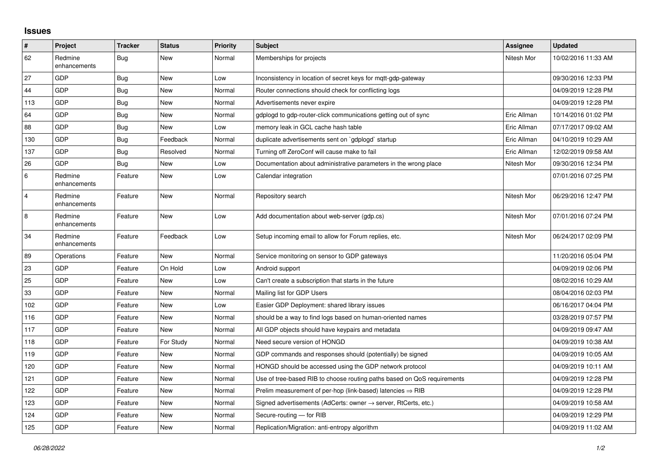## **Issues**

| #                       | Project                 | <b>Tracker</b> | <b>Status</b> | <b>Priority</b> | <b>Subject</b>                                                             | Assignee    | <b>Updated</b>      |
|-------------------------|-------------------------|----------------|---------------|-----------------|----------------------------------------------------------------------------|-------------|---------------------|
| 62                      | Redmine<br>enhancements | <b>Bug</b>     | <b>New</b>    | Normal          | Memberships for projects                                                   | Nitesh Mor  | 10/02/2016 11:33 AM |
| 27                      | GDP                     | Bug            | <b>New</b>    | Low             | Inconsistency in location of secret keys for mgtt-gdp-gateway              |             | 09/30/2016 12:33 PM |
| 44                      | GDP                     | Bug            | <b>New</b>    | Normal          | Router connections should check for conflicting logs                       |             | 04/09/2019 12:28 PM |
| 113                     | GDP                     | Bug            | <b>New</b>    | Normal          | Advertisements never expire                                                |             | 04/09/2019 12:28 PM |
| 64                      | GDP                     | <b>Bug</b>     | <b>New</b>    | Normal          | gdplogd to gdp-router-click communications getting out of sync             | Eric Allman | 10/14/2016 01:02 PM |
| 88                      | GDP                     | Bug            | <b>New</b>    | Low             | memory leak in GCL cache hash table                                        | Eric Allman | 07/17/2017 09:02 AM |
| 130                     | GDP                     | Bug            | Feedback      | Normal          | duplicate advertisements sent on `gdplogd` startup                         | Eric Allman | 04/10/2019 10:29 AM |
| 137                     | GDP                     | Bug            | Resolved      | Normal          | Turning off ZeroConf will cause make to fail                               | Eric Allman | 12/02/2019 09:58 AM |
| 26                      | GDP                     | <b>Bug</b>     | <b>New</b>    | Low             | Documentation about administrative parameters in the wrong place           | Nitesh Mor  | 09/30/2016 12:34 PM |
| $\,6\,$                 | Redmine<br>enhancements | Feature        | <b>New</b>    | Low             | Calendar integration                                                       |             | 07/01/2016 07:25 PM |
| $\overline{4}$          | Redmine<br>enhancements | Feature        | <b>New</b>    | Normal          | Repository search                                                          | Nitesh Mor  | 06/29/2016 12:47 PM |
| $\overline{\mathbf{8}}$ | Redmine<br>enhancements | Feature        | New           | Low             | Add documentation about web-server (gdp.cs)                                | Nitesh Mor  | 07/01/2016 07:24 PM |
| 34                      | Redmine<br>enhancements | Feature        | Feedback      | Low             | Setup incoming email to allow for Forum replies, etc.                      | Nitesh Mor  | 06/24/2017 02:09 PM |
| 89                      | Operations              | Feature        | <b>New</b>    | Normal          | Service monitoring on sensor to GDP gateways                               |             | 11/20/2016 05:04 PM |
| 23                      | GDP                     | Feature        | On Hold       | Low             | Android support                                                            |             | 04/09/2019 02:06 PM |
| 25                      | GDP                     | Feature        | <b>New</b>    | Low             | Can't create a subscription that starts in the future                      |             | 08/02/2016 10:29 AM |
| 33                      | GDP                     | Feature        | <b>New</b>    | Normal          | Mailing list for GDP Users                                                 |             | 08/04/2016 02:03 PM |
| 102                     | GDP                     | Feature        | <b>New</b>    | Low             | Easier GDP Deployment: shared library issues                               |             | 06/16/2017 04:04 PM |
| 116                     | GDP                     | Feature        | <b>New</b>    | Normal          | should be a way to find logs based on human-oriented names                 |             | 03/28/2019 07:57 PM |
| 117                     | GDP                     | Feature        | <b>New</b>    | Normal          | All GDP objects should have keypairs and metadata                          |             | 04/09/2019 09:47 AM |
| 118                     | GDP                     | Feature        | For Study     | Normal          | Need secure version of HONGD                                               |             | 04/09/2019 10:38 AM |
| 119                     | GDP                     | Feature        | <b>New</b>    | Normal          | GDP commands and responses should (potentially) be signed                  |             | 04/09/2019 10:05 AM |
| 120                     | GDP                     | Feature        | <b>New</b>    | Normal          | HONGD should be accessed using the GDP network protocol                    |             | 04/09/2019 10:11 AM |
| 121                     | GDP                     | Feature        | <b>New</b>    | Normal          | Use of tree-based RIB to choose routing paths based on QoS requirements    |             | 04/09/2019 12:28 PM |
| 122                     | GDP                     | Feature        | New           | Normal          | Prelim measurement of per-hop (link-based) latencies $\Rightarrow$ RIB     |             | 04/09/2019 12:28 PM |
| 123                     | GDP                     | Feature        | <b>New</b>    | Normal          | Signed advertisements (AdCerts: owner $\rightarrow$ server, RtCerts, etc.) |             | 04/09/2019 10:58 AM |
| 124                     | GDP                     | Feature        | <b>New</b>    | Normal          | Secure-routing - for RIB                                                   |             | 04/09/2019 12:29 PM |
| 125                     | GDP                     | Feature        | <b>New</b>    | Normal          | Replication/Migration: anti-entropy algorithm                              |             | 04/09/2019 11:02 AM |